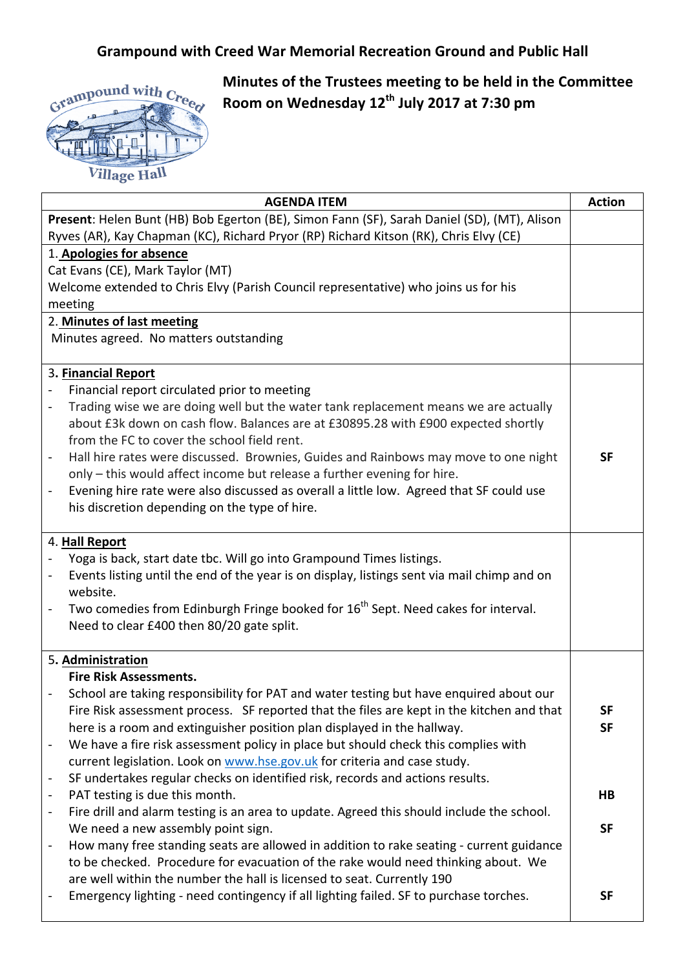## **Grampound with Creed War Memorial Recreation Ground and Public Hall**



**Minutes of the Trustees meeting to be held in the Committee Room on Wednesday 12th July 2017 at 7:30 pm**

| <b>AGENDA ITEM</b>                                                                                                      | <b>Action</b> |
|-------------------------------------------------------------------------------------------------------------------------|---------------|
| Present: Helen Bunt (HB) Bob Egerton (BE), Simon Fann (SF), Sarah Daniel (SD), (MT), Alison                             |               |
| Ryves (AR), Kay Chapman (KC), Richard Pryor (RP) Richard Kitson (RK), Chris Elvy (CE)                                   |               |
| 1. Apologies for absence                                                                                                |               |
| Cat Evans (CE), Mark Taylor (MT)                                                                                        |               |
| Welcome extended to Chris Elvy (Parish Council representative) who joins us for his                                     |               |
| meeting                                                                                                                 |               |
| 2. Minutes of last meeting                                                                                              |               |
| Minutes agreed. No matters outstanding                                                                                  |               |
|                                                                                                                         |               |
| 3. Financial Report                                                                                                     |               |
| Financial report circulated prior to meeting                                                                            |               |
| Trading wise we are doing well but the water tank replacement means we are actually<br>$\blacksquare$                   |               |
| about £3k down on cash flow. Balances are at £30895.28 with £900 expected shortly                                       |               |
| from the FC to cover the school field rent.                                                                             |               |
| Hall hire rates were discussed. Brownies, Guides and Rainbows may move to one night                                     | <b>SF</b>     |
| only - this would affect income but release a further evening for hire.                                                 |               |
| Evening hire rate were also discussed as overall a little low. Agreed that SF could use                                 |               |
| his discretion depending on the type of hire.                                                                           |               |
|                                                                                                                         |               |
| 4. Hall Report                                                                                                          |               |
| Yoga is back, start date tbc. Will go into Grampound Times listings.                                                    |               |
| Events listing until the end of the year is on display, listings sent via mail chimp and on                             |               |
| website.                                                                                                                |               |
| Two comedies from Edinburgh Fringe booked for 16 <sup>th</sup> Sept. Need cakes for interval.                           |               |
| Need to clear £400 then 80/20 gate split.                                                                               |               |
| 5. Administration                                                                                                       |               |
| <b>Fire Risk Assessments.</b>                                                                                           |               |
| School are taking responsibility for PAT and water testing but have enquired about our                                  |               |
| Fire Risk assessment process. SF reported that the files are kept in the kitchen and that                               | <b>SF</b>     |
| here is a room and extinguisher position plan displayed in the hallway.                                                 | <b>SF</b>     |
| We have a fire risk assessment policy in place but should check this complies with<br>$\blacksquare$                    |               |
| current legislation. Look on www.hse.gov.uk for criteria and case study.                                                |               |
| SF undertakes regular checks on identified risk, records and actions results.<br>$\overline{\phantom{a}}$               |               |
| PAT testing is due this month.<br>$\blacksquare$                                                                        | HB            |
| Fire drill and alarm testing is an area to update. Agreed this should include the school.<br>$\overline{\phantom{a}}$   |               |
| We need a new assembly point sign.                                                                                      | <b>SF</b>     |
| How many free standing seats are allowed in addition to rake seating - current guidance<br>$\qquad \qquad \blacksquare$ |               |
| to be checked. Procedure for evacuation of the rake would need thinking about. We                                       |               |
| are well within the number the hall is licensed to seat. Currently 190                                                  |               |
| Emergency lighting - need contingency if all lighting failed. SF to purchase torches.                                   | <b>SF</b>     |